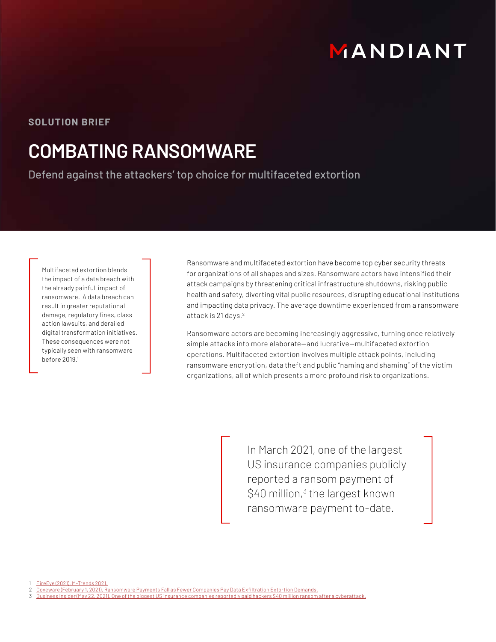# MANDIANT

### **SOLUTION BRIEF**

## **COMBATING RANSOMWARE**

Defend against the attackers' top choice for multifaceted extortion

Multifaceted extortion blends the impact of a data breach with the already painful impact of ransomware. A data breach can result in greater reputational damage, regulatory fines, class action lawsuits, and derailed digital transformation initiatives. These consequences were not typically seen with ransomware before 2019.1

Ransomware and multifaceted extortion have become top cyber security threats for organizations of all shapes and sizes. Ransomware actors have intensified their attack campaigns by threatening critical infrastructure shutdowns, risking public health and safety, diverting vital public resources, disrupting educational institutions and impacting data privacy. The average downtime experienced from a ransomware attack is 21 days.<sup>2</sup>

Ransomware actors are becoming increasingly aggressive, turning once relatively simple attacks into more elaborate—and lucrative—multifaceted extortion operations. Multifaceted extortion involves multiple attack points, including ransomware encryption, data theft and public "naming and shaming" of the victim organizations, all of which presents a more profound risk to organizations.

> In March 2021, one of the largest US insurance companies publicly reported a ransom payment of  $$40$  million,<sup>3</sup> the largest known ransomware payment to-date.

1 FireEye (2021). M-Trends 2021.

<sup>2</sup> Coveware (February 1, 2021). Ransomware Payments Fall as Fewer Companies Pay Data Exfiltration Extortion Demands.

<sup>3</sup> Business Insider (May 22, 2021). One of the biggest US insurance companies reportedly paid hackers \$40 million ransom after a cyberattack.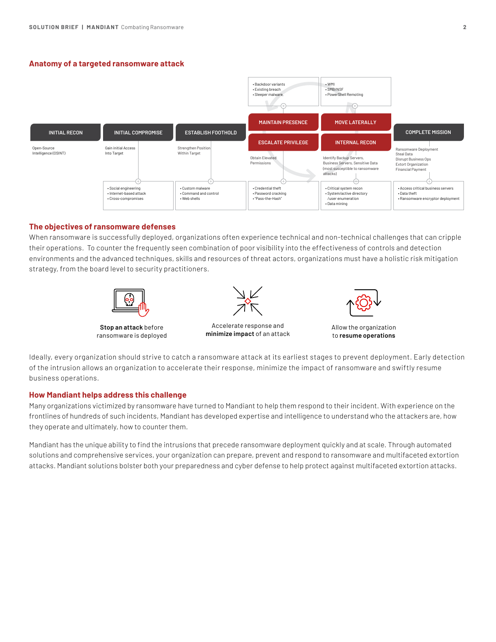#### **Anatomy of a targeted ransomware attack**



#### **The objectives of ransomware defenses**

When ransomware is successfully deployed, organizations often experience technical and non-technical challenges that can cripple their operations. To counter the frequently seen combination of poor visibility into the effectiveness of controls and detection environments and the advanced techniques, skills and resources of threat actors, organizations must have a holistic risk mitigation strategy, from the board level to security practitioners.



**Stop an attack** before ransomware is deployed



Accelerate response and **minimize impact** of an attack



Allow the organization to **resume operations**

Ideally, every organization should strive to catch a ransomware attack at its earliest stages to prevent deployment. Early detection of the intrusion allows an organization to accelerate their response, minimize the impact of ransomware and swiftly resume business operations.

#### **How Mandiant helps address this challenge**

Many organizations victimized by ransomware have turned to Mandiant to help them respond to their incident. With experience on the frontlines of hundreds of such incidents, Mandiant has developed expertise and intelligence to understand who the attackers are, how they operate and ultimately, how to counter them.

Mandiant has the unique ability to find the intrusions that precede ransomware deployment quickly and at scale. Through automated solutions and comprehensive services, your organization can prepare, prevent and respond to ransomware and multifaceted extortion attacks. Mandiant solutions bolster both your preparedness and cyber defense to help protect against multifaceted extortion attacks.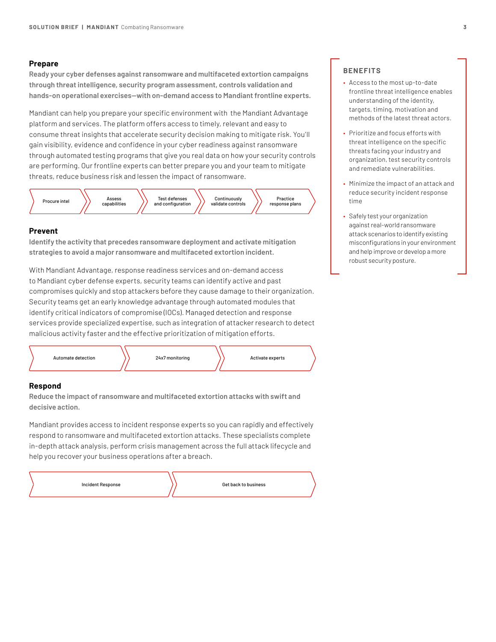#### **Prepare**

**Ready your cyber defenses against ransomware and multifaceted extortion campaigns through threat intelligence, security program assessment, controls validation and hands-on operational exercises—with on-demand access to Mandiant frontline experts.**

Mandiant can help you prepare your specific environment with the Mandiant Advantage platform and services. The platform offers access to timely, relevant and easy to consume threat insights that accelerate security decision making to mitigate risk. You'll gain visibility, evidence and confidence in your cyber readiness against ransomware through automated testing programs that give you real data on how your security controls are performing. Our frontline experts can better prepare you and your team to mitigate threats, reduce business risk and lessen the impact of ransomware.



#### **Prevent**

**Identify the activity that precedes ransomware deployment and activate mitigation strategies to avoid a major ransomware and multifaceted extortion incident.** 

With Mandiant Advantage, response readiness services and on-demand access to Mandiant cyber defense experts, security teams can identify active and past compromises quickly and stop attackers before they cause damage to their organization. Security teams get an early knowledge advantage through automated modules that identify critical indicators of compromise (IOCs). Managed detection and response services provide specialized expertise, such as integration of attacker research to detect malicious activity faster and the effective prioritization of mitigation efforts.



#### **Respond**

**Reduce the impact of ransomware and multifaceted extortion attacks with swift and decisive action.** 

Mandiant provides access to incident response experts so you can rapidly and effectively respond to ransomware and multifaceted extortion attacks. These specialists complete in-depth attack analysis, perform crisis management across the full attack lifecycle and help you recover your business operations after a breach.

| Incident Response | Get back to business |
|-------------------|----------------------|
|-------------------|----------------------|

#### **BENEFITS**

- Access to the most up-to-date frontline threat intelligence enables understanding of the identity, targets, timing, motivation and methods of the latest threat actors.
- Prioritize and focus efforts with threat intelligence on the specific threats facing your industry and organization, test security controls and remediate vulnerabilities.
- Minimize the impact of an attack and reduce security incident response time
- Safely test your organization against real-world ransomware attack scenarios to identify existing misconfigurations in your environment and help improve or develop a more robust security posture.